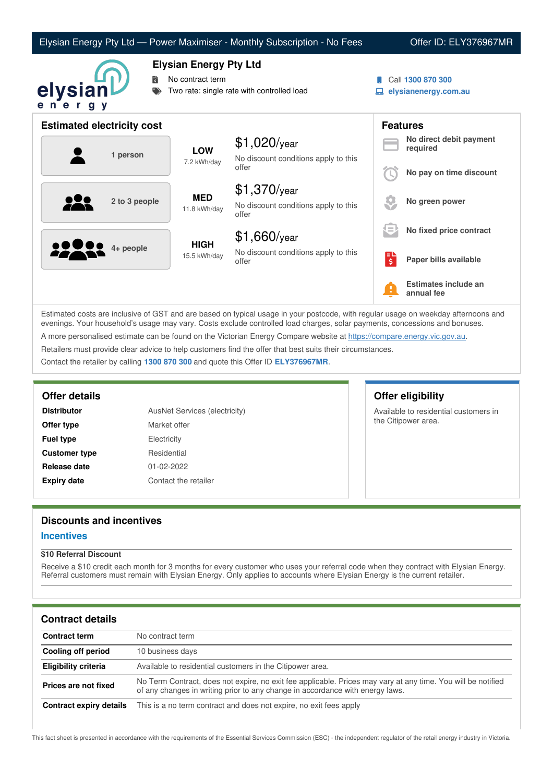|                                   |                                                                                                 | Elysian Energy Pty Ltd - Power Maximiser - Monthly Subscription - No Fees |   | Offer ID: ELY376967MR                     |
|-----------------------------------|-------------------------------------------------------------------------------------------------|---------------------------------------------------------------------------|---|-------------------------------------------|
| 詩<br>elysian<br>ener<br>g y       | <b>Elysian Energy Pty Ltd</b><br>No contract term<br>Two rate: single rate with controlled load |                                                                           |   | Call 1300 870 300<br>elysianenergy.com.au |
| <b>Estimated electricity cost</b> |                                                                                                 |                                                                           |   | <b>Features</b>                           |
| 1 person                          | <b>LOW</b><br>7.2 kWh/day                                                                       | $$1,020$ /year<br>No discount conditions apply to this<br>offer           |   | No direct debit payment<br>required       |
|                                   |                                                                                                 |                                                                           |   | No pay on time discount                   |
| 2 to 3 people                     | <b>MED</b><br>11.8 kWh/day                                                                      | $$1,370$ /year<br>No discount conditions apply to this<br>offer           |   | No green power                            |
|                                   | <b>HIGH</b><br>15.5 kWh/day                                                                     | $$1,660$ /year                                                            |   | No fixed price contract                   |
| 4+ people                         |                                                                                                 | No discount conditions apply to this<br>offer                             | 탆 | Paper bills available                     |
|                                   |                                                                                                 |                                                                           |   | Estimates include an<br>annual fee        |

Estimated costs are inclusive of GST and are based on typical usage in your postcode, with regular usage on weekday afternoons and evenings. Your household's usage may vary. Costs exclude controlled load charges, solar payments, concessions and bonuses. A more personalised estimate can be found on the Victorian Energy Compare website at <https://compare.energy.vic.gov.au>. Retailers must provide clear advice to help customers find the offer that best suits their circumstances.

Contact the retailer by calling **1300 870 300** and quote this Offer ID **ELY376967MR**.

| <b>Distributor</b>   | <b>AusNet Services (electricity)</b> |
|----------------------|--------------------------------------|
| Offer type           | Market offer                         |
| <b>Fuel type</b>     | Electricity                          |
| <b>Customer type</b> | Residential                          |
| Release date         | 01-02-2022                           |
| <b>Expiry date</b>   | Contact the retailer                 |

# **Offer details Offer eligibility**

Available to residential customers in the Citipower area.

# **Discounts and incentives**

# **Incentives**

### **\$10 Referral Discount**

Receive a \$10 credit each month for 3 months for every customer who uses your referral code when they contract with Elysian Energy. Referral customers must remain with Elysian Energy. Only applies to accounts where Elysian Energy is the current retailer.

## **Contract details**

| <b>Contract term</b>    | No contract term                                                                                                                                                                              |
|-------------------------|-----------------------------------------------------------------------------------------------------------------------------------------------------------------------------------------------|
| Cooling off period      | 10 business days                                                                                                                                                                              |
| Eligibility criteria    | Available to residential customers in the Citipower area.                                                                                                                                     |
| Prices are not fixed    | No Term Contract, does not expire, no exit fee applicable. Prices may vary at any time. You will be notified<br>of any changes in writing prior to any change in accordance with energy laws. |
| Contract expiry details | This is a no term contract and does not expire, no exit fees apply                                                                                                                            |

This fact sheet is presented in accordance with the requirements of the Essential Services Commission (ESC) - the independent regulator of the retail energy industry in Victoria.